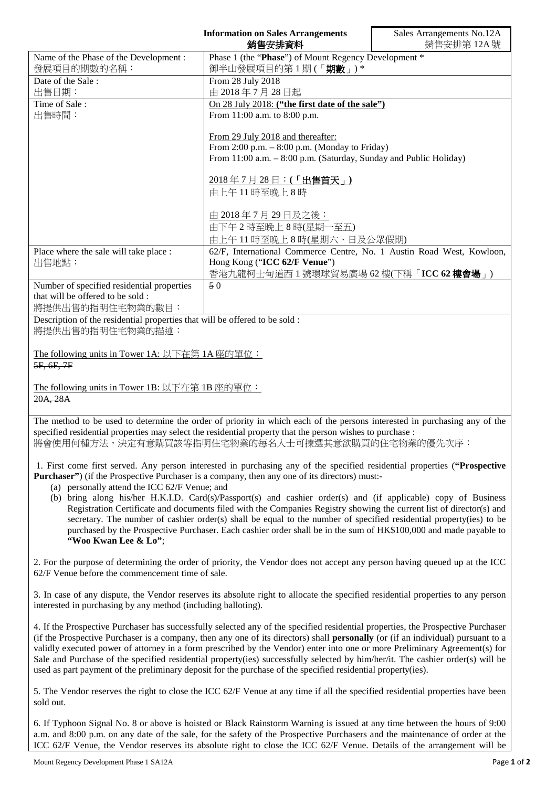|                                                                                                                           | <b>Information on Sales Arrangements</b><br>銷售安排資料                         | Sales Arrangements No.12A<br>銷售安排第12A號 |
|---------------------------------------------------------------------------------------------------------------------------|----------------------------------------------------------------------------|----------------------------------------|
| Name of the Phase of the Development:                                                                                     |                                                                            |                                        |
| 發展項目的期數的名稱:                                                                                                               | Phase 1 (the "Phase") of Mount Regency Development *<br>御半山發展項目的第1期(「期數」)* |                                        |
| Date of the Sale:                                                                                                         |                                                                            |                                        |
|                                                                                                                           | From 28 July 2018                                                          |                                        |
| 出售日期:                                                                                                                     | 由 2018年7月28日起                                                              |                                        |
| Time of Sale:                                                                                                             | On 28 July 2018: ("the first date of the sale")                            |                                        |
| 出售時間:                                                                                                                     | From 11:00 a.m. to 8:00 p.m.                                               |                                        |
|                                                                                                                           | From 29 July 2018 and thereafter:                                          |                                        |
|                                                                                                                           | From 2:00 p.m. - 8:00 p.m. (Monday to Friday)                              |                                        |
|                                                                                                                           | From 11:00 a.m. - 8:00 p.m. (Saturday, Sunday and Public Holiday)          |                                        |
|                                                                                                                           |                                                                            |                                        |
|                                                                                                                           | 2018年7月28日:(「出售首天」)                                                        |                                        |
|                                                                                                                           | 由上午11時至晩上8時                                                                |                                        |
|                                                                                                                           |                                                                            |                                        |
|                                                                                                                           | 由 2018年7月29日及之後:                                                           |                                        |
|                                                                                                                           | 由下午2時至晚上8時(星期一至五)                                                          |                                        |
|                                                                                                                           | 由上午11時至晚上8時(星期六、日及公眾假期)                                                    |                                        |
| Place where the sale will take place :                                                                                    | 62/F, International Commerce Centre, No. 1 Austin Road West, Kowloon,      |                                        |
| 出售地點:                                                                                                                     | Hong Kong ("ICC 62/F Venue")                                               |                                        |
|                                                                                                                           | 香港九龍柯士甸道西1號環球貿易廣場 62樓(下稱「ICC 62樓會場」)                                       |                                        |
| Number of specified residential properties                                                                                | 50                                                                         |                                        |
| that will be offered to be sold :                                                                                         |                                                                            |                                        |
| 將提供出售的指明住宅物業的數目:                                                                                                          |                                                                            |                                        |
| Description of the residential properties that will be offered to be sold :                                               |                                                                            |                                        |
| 將提供出售的指明住宅物業的描述:                                                                                                          |                                                                            |                                        |
|                                                                                                                           |                                                                            |                                        |
| The following units in Tower 1A: 以下在第1A座的單位:                                                                              |                                                                            |                                        |
| 5F, 6F, 7F                                                                                                                |                                                                            |                                        |
|                                                                                                                           |                                                                            |                                        |
| The following units in Tower 1B: 以下在第 1B 座的單位:                                                                            |                                                                            |                                        |
| 20A, 28A                                                                                                                  |                                                                            |                                        |
|                                                                                                                           |                                                                            |                                        |
| The method to be used to determine the order of priority in which each of the persons interested in purchasing any of the |                                                                            |                                        |
| specified residential properties may select the residential property that the person wishes to purchase :                 |                                                                            |                                        |

將會使用何種方法,決定有意購買該等指明住宅物業的每名人士可揀選其意欲購買的住宅物業的優先次序:

1. First come first served. Any person interested in purchasing any of the specified residential properties (**"Prospective Purchaser"**) (if the Prospective Purchaser is a company, then any one of its directors) must:-

- (a) personally attend the ICC 62/F Venue; and
- (b) bring along his/her H.K.I.D. Card(s)/Passport(s) and cashier order(s) and (if applicable) copy of Business Registration Certificate and documents filed with the Companies Registry showing the current list of director(s) and secretary. The number of cashier order(s) shall be equal to the number of specified residential property(ies) to be purchased by the Prospective Purchaser. Each cashier order shall be in the sum of HK\$100,000 and made payable to **"Woo Kwan Lee & Lo"**;

2. For the purpose of determining the order of priority, the Vendor does not accept any person having queued up at the ICC 62/F Venue before the commencement time of sale.

3. In case of any dispute, the Vendor reserves its absolute right to allocate the specified residential properties to any person interested in purchasing by any method (including balloting).

4. If the Prospective Purchaser has successfully selected any of the specified residential properties, the Prospective Purchaser (if the Prospective Purchaser is a company, then any one of its directors) shall **personally** (or (if an individual) pursuant to a validly executed power of attorney in a form prescribed by the Vendor) enter into one or more Preliminary Agreement(s) for Sale and Purchase of the specified residential property(ies) successfully selected by him/her/it. The cashier order(s) will be used as part payment of the preliminary deposit for the purchase of the specified residential property(ies).

5. The Vendor reserves the right to close the ICC 62/F Venue at any time if all the specified residential properties have been sold out.

6. If Typhoon Signal No. 8 or above is hoisted or Black Rainstorm Warning is issued at any time between the hours of 9:00 a.m. and 8:00 p.m. on any date of the sale, for the safety of the Prospective Purchasers and the maintenance of order at the ICC 62/F Venue, the Vendor reserves its absolute right to close the ICC 62/F Venue. Details of the arrangement will be